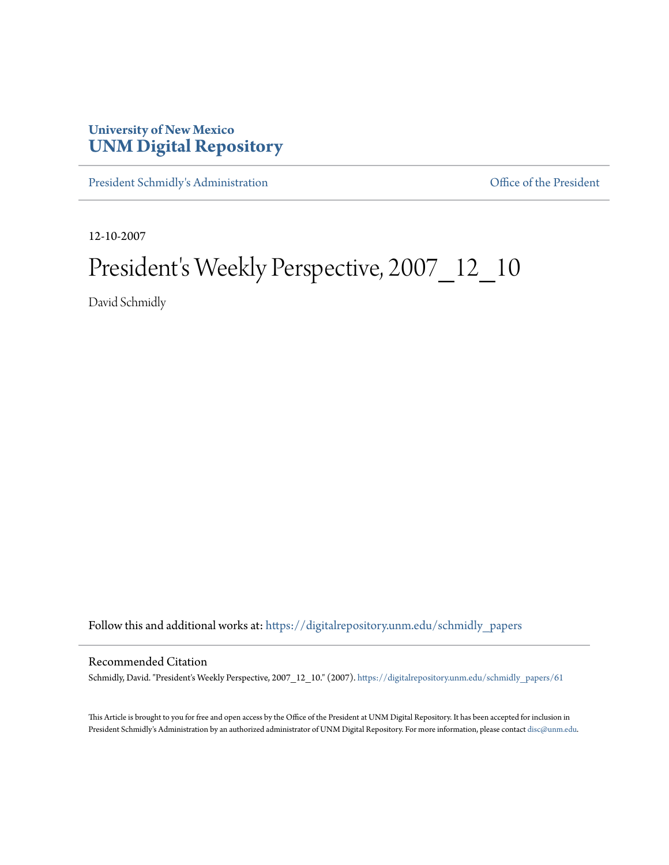## **University of New Mexico [UNM Digital Repository](https://digitalrepository.unm.edu?utm_source=digitalrepository.unm.edu%2Fschmidly_papers%2F61&utm_medium=PDF&utm_campaign=PDFCoverPages)**

[President Schmidly's Administration](https://digitalrepository.unm.edu/schmidly_papers?utm_source=digitalrepository.unm.edu%2Fschmidly_papers%2F61&utm_medium=PDF&utm_campaign=PDFCoverPages) [Office of the President](https://digitalrepository.unm.edu/ofc_president?utm_source=digitalrepository.unm.edu%2Fschmidly_papers%2F61&utm_medium=PDF&utm_campaign=PDFCoverPages)

12-10-2007

## President's Weekly Perspective, 2007\_12\_10

David Schmidly

Follow this and additional works at: [https://digitalrepository.unm.edu/schmidly\\_papers](https://digitalrepository.unm.edu/schmidly_papers?utm_source=digitalrepository.unm.edu%2Fschmidly_papers%2F61&utm_medium=PDF&utm_campaign=PDFCoverPages)

## Recommended Citation

Schmidly, David. "President's Weekly Perspective, 2007\_12\_10." (2007). [https://digitalrepository.unm.edu/schmidly\\_papers/61](https://digitalrepository.unm.edu/schmidly_papers/61?utm_source=digitalrepository.unm.edu%2Fschmidly_papers%2F61&utm_medium=PDF&utm_campaign=PDFCoverPages)

This Article is brought to you for free and open access by the Office of the President at UNM Digital Repository. It has been accepted for inclusion in President Schmidly's Administration by an authorized administrator of UNM Digital Repository. For more information, please contact [disc@unm.edu](mailto:disc@unm.edu).